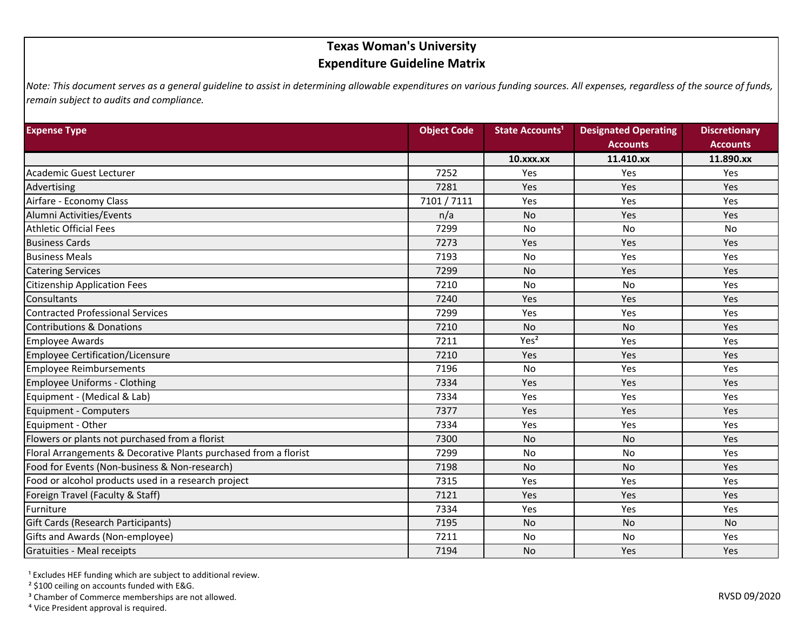## **Texas Woman's University Expenditure Guideline Matrix**

*Note: This document serves as a general guideline to assist in determining allowable expenditures on various funding sources. All expenses, regardless of the source of funds, remain subject to audits and compliance.*

| <b>Expense Type</b>                                              | <b>Object Code</b> | State Accounts <sup>1</sup> | <b>Designated Operating</b> | <b>Discretionary</b> |
|------------------------------------------------------------------|--------------------|-----------------------------|-----------------------------|----------------------|
|                                                                  |                    |                             | <b>Accounts</b>             | <b>Accounts</b>      |
|                                                                  |                    | $10.$ xxx. $xx$             | 11.410.xx                   | 11.890.xx            |
| Academic Guest Lecturer                                          | 7252               | Yes                         | Yes                         | Yes                  |
| Advertising                                                      | 7281               | Yes                         | Yes                         | Yes                  |
| Airfare - Economy Class                                          | 7101 / 7111        | Yes                         | Yes                         | Yes                  |
| Alumni Activities/Events                                         | n/a                | <b>No</b>                   | Yes                         | Yes                  |
| <b>Athletic Official Fees</b>                                    | 7299               | <b>No</b>                   | No                          | <b>No</b>            |
| <b>Business Cards</b>                                            | 7273               | Yes                         | Yes                         | <b>Yes</b>           |
| <b>Business Meals</b>                                            | 7193               | <b>No</b>                   | Yes                         | Yes                  |
| <b>Catering Services</b>                                         | 7299               | <b>No</b>                   | Yes                         | Yes                  |
| <b>Citizenship Application Fees</b>                              | 7210               | <b>No</b>                   | No                          | Yes                  |
| Consultants                                                      | 7240               | Yes                         | Yes                         | Yes                  |
| <b>Contracted Professional Services</b>                          | 7299               | Yes                         | Yes                         | Yes                  |
| <b>Contributions &amp; Donations</b>                             | 7210               | No                          | No                          | Yes                  |
| <b>Employee Awards</b>                                           | 7211               | Yes <sup>2</sup>            | Yes                         | Yes                  |
| Employee Certification/Licensure                                 | 7210               | Yes                         | Yes                         | Yes                  |
| <b>Employee Reimbursements</b>                                   | 7196               | No                          | Yes                         | Yes                  |
| Employee Uniforms - Clothing                                     | 7334               | Yes                         | Yes                         | Yes                  |
| Equipment - (Medical & Lab)                                      | 7334               | Yes                         | Yes                         | <b>Yes</b>           |
| Equipment - Computers                                            | 7377               | Yes                         | Yes                         | Yes                  |
| Equipment - Other                                                | 7334               | Yes                         | Yes                         | Yes                  |
| Flowers or plants not purchased from a florist                   | 7300               | <b>No</b>                   | <b>No</b>                   | Yes                  |
| Floral Arrangements & Decorative Plants purchased from a florist | 7299               | <b>No</b>                   | No                          | Yes                  |
| Food for Events (Non-business & Non-research)                    | 7198               | <b>No</b>                   | <b>No</b>                   | Yes                  |
| Food or alcohol products used in a research project              | 7315               | Yes                         | Yes                         | Yes                  |
| Foreign Travel (Faculty & Staff)                                 | 7121               | Yes                         | Yes                         | Yes                  |
| Furniture                                                        | 7334               | Yes                         | Yes                         | Yes                  |
| Gift Cards (Research Participants)                               | 7195               | No                          | <b>No</b>                   | <b>No</b>            |
| Gifts and Awards (Non-employee)                                  | 7211               | No                          | <b>No</b>                   | <b>Yes</b>           |
| Gratuities - Meal receipts                                       | 7194               | <b>No</b>                   | Yes                         | Yes                  |

<sup>1</sup> Excludes HEF funding which are subject to additional review.

² \$100 ceiling on accounts funded with E&G.

<sup>3</sup> Chamber of Commerce memberships are not allowed.

⁴ Vice President approval is required.